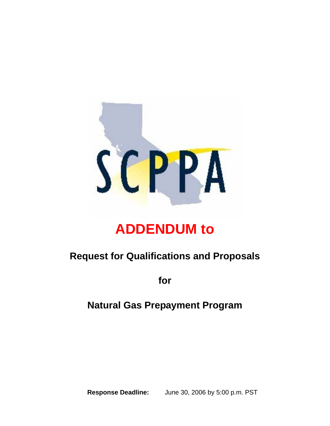

# **ADDENDUM to**

# **Request for Qualifications and Proposals**

**for** 

### **Natural Gas Prepayment Program**

**Response Deadline:** June 30, 2006 by 5:00 p.m. PST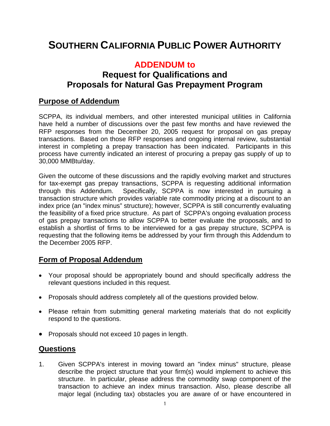## **SOUTHERN CALIFORNIA PUBLIC POWER AUTHORITY**

### **ADDENDUM to**

### **Request for Qualifications and Proposals for Natural Gas Prepayment Program**

#### **Purpose of Addendum**

SCPPA, its individual members, and other interested municipal utilities in California have held a number of discussions over the past few months and have reviewed the RFP responses from the December 20, 2005 request for proposal on gas prepay transactions. Based on those RFP responses and ongoing internal review, substantial interest in completing a prepay transaction has been indicated. Participants in this process have currently indicated an interest of procuring a prepay gas supply of up to 30,000 MMBtu/day.

Given the outcome of these discussions and the rapidly evolving market and structures for tax-exempt gas prepay transactions, SCPPA is requesting additional information through this Addendum. Specifically, SCPPA is now interested in pursuing a transaction structure which provides variable rate commodity pricing at a discount to an index price (an "index minus" structure); however, SCPPA is still concurrently evaluating the feasibility of a fixed price structure. As part of SCPPA's ongoing evaluation process of gas prepay transactions to allow SCPPA to better evaluate the proposals, and to establish a shortlist of firms to be interviewed for a gas prepay structure, SCPPA is requesting that the following items be addressed by your firm through this Addendum to the December 2005 RFP.

#### **Form of Proposal Addendum**

- Your proposal should be appropriately bound and should specifically address the relevant questions included in this request.
- Proposals should address completely all of the questions provided below.
- Please refrain from submitting general marketing materials that do not explicitly respond to the questions.
- Proposals should not exceed 10 pages in length.

#### **Questions**

1. Given SCPPA's interest in moving toward an "index minus" structure, please describe the project structure that your firm(s) would implement to achieve this structure. In particular, please address the commodity swap component of the transaction to achieve an index minus transaction. Also, please describe all major legal (including tax) obstacles you are aware of or have encountered in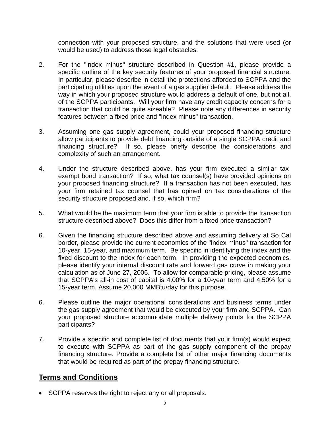connection with your proposed structure, and the solutions that were used (or would be used) to address those legal obstacles.

- 2. For the "index minus" structure described in Question #1, please provide a specific outline of the key security features of your proposed financial structure. In particular, please describe in detail the protections afforded to SCPPA and the participating utilities upon the event of a gas supplier default. Please address the way in which your proposed structure would address a default of one, but not all, of the SCPPA participants. Will your firm have any credit capacity concerns for a transaction that could be quite sizeable? Please note any differences in security features between a fixed price and "index minus" transaction.
- 3. Assuming one gas supply agreement, could your proposed financing structure allow participants to provide debt financing outside of a single SCPPA credit and financing structure? If so, please briefly describe the considerations and complexity of such an arrangement.
- 4. Under the structure described above, has your firm executed a similar taxexempt bond transaction? If so, what tax counsel(s) have provided opinions on your proposed financing structure? If a transaction has not been executed, has your firm retained tax counsel that has opined on tax considerations of the security structure proposed and, if so, which firm?
- 5. What would be the maximum term that your firm is able to provide the transaction structure described above? Does this differ from a fixed price transaction?
- 6. Given the financing structure described above and assuming delivery at So Cal border, please provide the current economics of the "index minus" transaction for 10-year, 15-year, and maximum term. Be specific in identifying the index and the fixed discount to the index for each term. In providing the expected economics, please identify your internal discount rate and forward gas curve in making your calculation as of June 27, 2006. To allow for comparable pricing, please assume that SCPPA's all-in cost of capital is 4.00% for a 10-year term and 4.50% for a 15-year term. Assume 20,000 MMBtu/day for this purpose.
- 6. Please outline the major operational considerations and business terms under the gas supply agreement that would be executed by your firm and SCPPA. Can your proposed structure accommodate multiple delivery points for the SCPPA participants?
- 7. Provide a specific and complete list of documents that your firm(s) would expect to execute with SCPPA as part of the gas supply component of the prepay financing structure. Provide a complete list of other major financing documents that would be required as part of the prepay financing structure.

#### **Terms and Conditions**

• SCPPA reserves the right to reject any or all proposals.